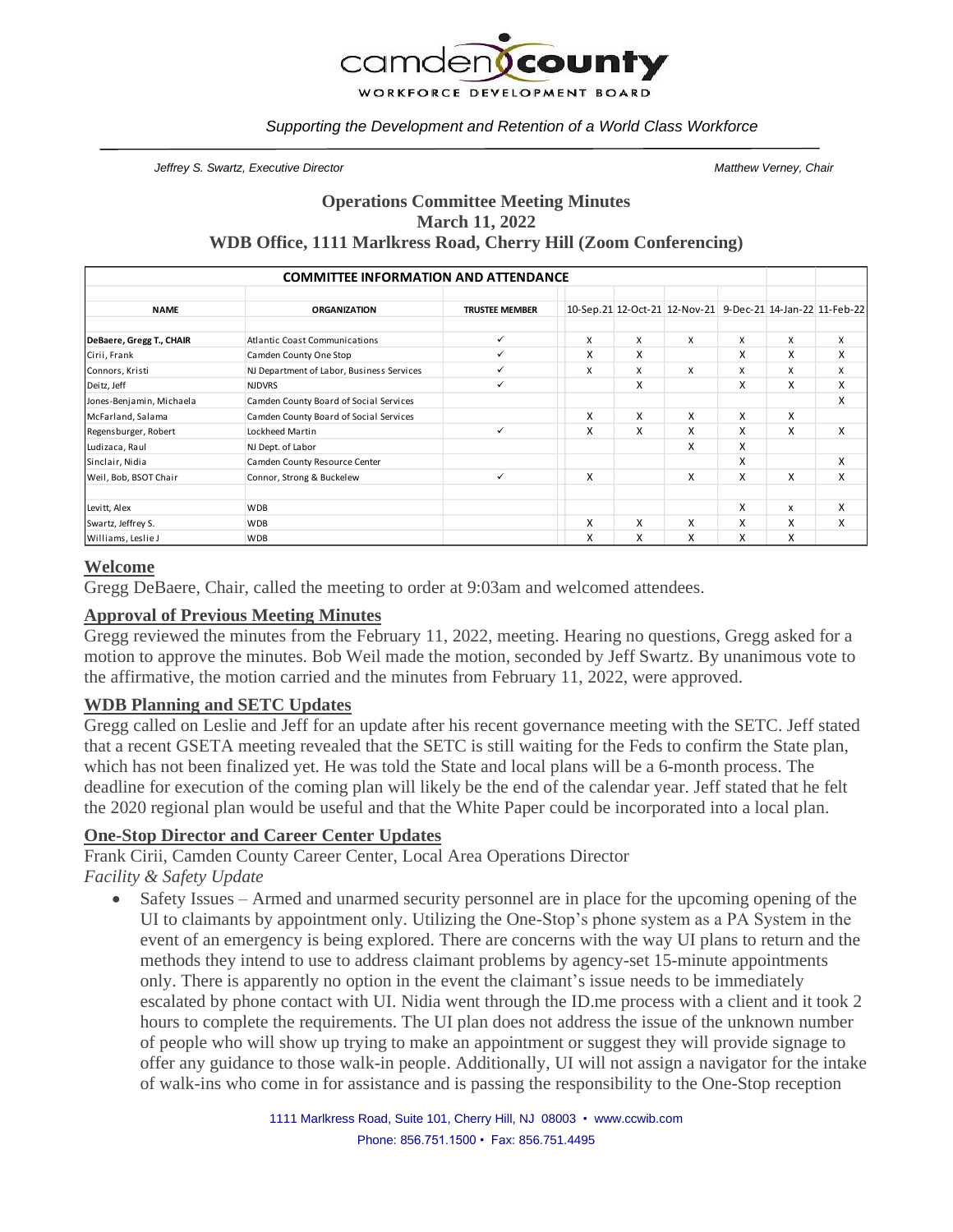

#### *Supporting the Development and Retention of a World Class Workforce*

*Jeffrey S. Swartz, Executive Director Matthew Verney, Chair*

## **Operations Committee Meeting Minutes March 11, 2022 WDB Office, 1111 Marlkress Road, Cherry Hill (Zoom Conferencing)**

| <b>COMMITTEE INFORMATION AND ATTENDANCE</b> |                                           |                       |   |   |                                                            |   |   |   |
|---------------------------------------------|-------------------------------------------|-----------------------|---|---|------------------------------------------------------------|---|---|---|
| <b>NAME</b>                                 | <b>ORGANIZATION</b>                       | <b>TRUSTEE MEMBER</b> |   |   | 10-Sep.21 12-Oct-21 12-Nov-21 9-Dec-21 14-Jan-22 11-Feb-22 |   |   |   |
| DeBaere, Gregg T., CHAIR                    | <b>Atlantic Coast Communications</b>      | ✓                     | X | X | X                                                          | X | X | X |
| Cirii, Frank                                | Camden County One Stop                    | ✓                     | X | X |                                                            | X | X | X |
| Connors, Kristi                             | NJ Department of Labor, Business Services | ✓                     | X | X | X                                                          | X | X | X |
| Deitz, Jeff                                 | <b>NJDVRS</b>                             | ✓                     |   | X |                                                            | X | X | X |
| Jones-Benjamin, Michaela                    | Camden County Board of Social Services    |                       |   |   |                                                            |   |   | X |
| McFarland, Salama                           | Camden County Board of Social Services    |                       | X | X | X                                                          | X | X |   |
| Regensburger, Robert                        | Lockheed Martin                           | $\checkmark$          | X | X | X                                                          | X | X | X |
| Ludizaca, Raul                              | NJ Dept. of Labor                         |                       |   |   | X                                                          | X |   |   |
| Sinclair, Nidia                             | Camden County Resource Center             |                       |   |   |                                                            | X |   | X |
| Weil, Bob, BSOT Chair                       | Connor, Strong & Buckelew                 | $\checkmark$          | X |   | X                                                          | X | X | X |
| Levitt, Alex                                | <b>WDB</b>                                |                       |   |   |                                                            | x | x | X |
| Swartz, Jeffrey S.                          | <b>WDB</b>                                |                       | X | X | X                                                          | X | X | X |
| Williams, Leslie J                          | <b>WDB</b>                                |                       | x | X | x                                                          | x | X |   |

### **Welcome**

Gregg DeBaere, Chair, called the meeting to order at 9:03am and welcomed attendees.

#### **Approval of Previous Meeting Minutes**

Gregg reviewed the minutes from the February 11, 2022, meeting. Hearing no questions, Gregg asked for a motion to approve the minutes. Bob Weil made the motion, seconded by Jeff Swartz. By unanimous vote to the affirmative, the motion carried and the minutes from February 11, 2022, were approved.

#### **WDB Planning and SETC Updates**

Gregg called on Leslie and Jeff for an update after his recent governance meeting with the SETC. Jeff stated that a recent GSETA meeting revealed that the SETC is still waiting for the Feds to confirm the State plan, which has not been finalized yet. He was told the State and local plans will be a 6-month process. The deadline for execution of the coming plan will likely be the end of the calendar year. Jeff stated that he felt the 2020 regional plan would be useful and that the White Paper could be incorporated into a local plan.

### **One-Stop Director and Career Center Updates**

Frank Cirii, Camden County Career Center, Local Area Operations Director *Facility & Safety Update*

• Safety Issues – Armed and unarmed security personnel are in place for the upcoming opening of the UI to claimants by appointment only. Utilizing the One-Stop's phone system as a PA System in the event of an emergency is being explored. There are concerns with the way UI plans to return and the methods they intend to use to address claimant problems by agency-set 15-minute appointments only. There is apparently no option in the event the claimant's issue needs to be immediately escalated by phone contact with UI. Nidia went through the ID.me process with a client and it took 2 hours to complete the requirements. The UI plan does not address the issue of the unknown number of people who will show up trying to make an appointment or suggest they will provide signage to offer any guidance to those walk-in people. Additionally, UI will not assign a navigator for the intake of walk-ins who come in for assistance and is passing the responsibility to the One-Stop reception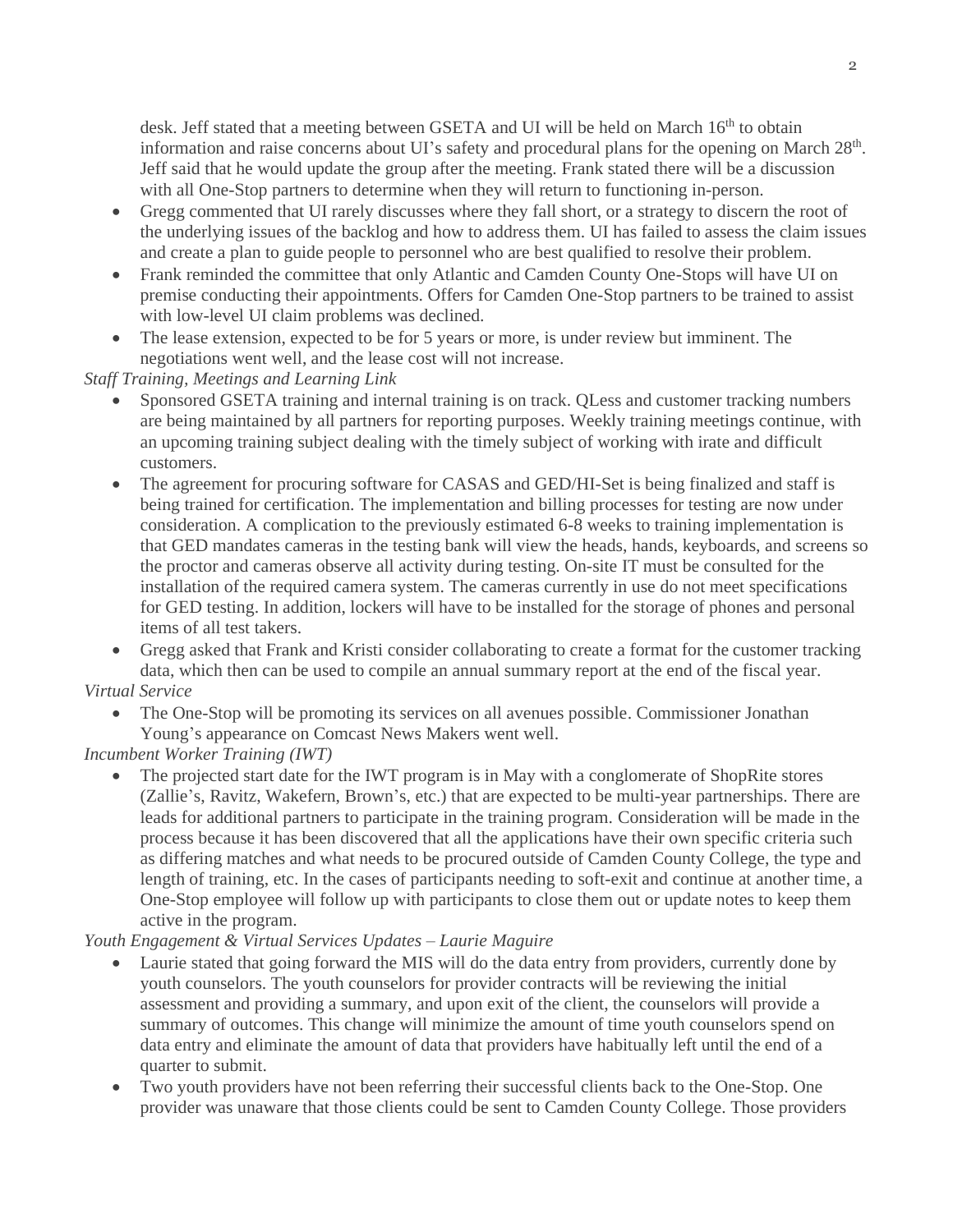desk. Jeff stated that a meeting between GSETA and UI will be held on March 16<sup>th</sup> to obtain information and raise concerns about UI's safety and procedural plans for the opening on March 28<sup>th</sup>. Jeff said that he would update the group after the meeting. Frank stated there will be a discussion with all One-Stop partners to determine when they will return to functioning in-person.

- Gregg commented that UI rarely discusses where they fall short, or a strategy to discern the root of the underlying issues of the backlog and how to address them. UI has failed to assess the claim issues and create a plan to guide people to personnel who are best qualified to resolve their problem.
- Frank reminded the committee that only Atlantic and Camden County One-Stops will have UI on premise conducting their appointments. Offers for Camden One-Stop partners to be trained to assist with low-level UI claim problems was declined.
- The lease extension, expected to be for 5 years or more, is under review but imminent. The negotiations went well, and the lease cost will not increase.

*Staff Training, Meetings and Learning Link*

- Sponsored GSETA training and internal training is on track. QLess and customer tracking numbers are being maintained by all partners for reporting purposes. Weekly training meetings continue, with an upcoming training subject dealing with the timely subject of working with irate and difficult customers.
- The agreement for procuring software for CASAS and GED/HI-Set is being finalized and staff is being trained for certification. The implementation and billing processes for testing are now under consideration. A complication to the previously estimated 6-8 weeks to training implementation is that GED mandates cameras in the testing bank will view the heads, hands, keyboards, and screens so the proctor and cameras observe all activity during testing. On-site IT must be consulted for the installation of the required camera system. The cameras currently in use do not meet specifications for GED testing. In addition, lockers will have to be installed for the storage of phones and personal items of all test takers.

• Gregg asked that Frank and Kristi consider collaborating to create a format for the customer tracking data, which then can be used to compile an annual summary report at the end of the fiscal year.

# *Virtual Service*

• The One-Stop will be promoting its services on all avenues possible. Commissioner Jonathan Young's appearance on Comcast News Makers went well.

# *Incumbent Worker Training (IWT)*

• The projected start date for the IWT program is in May with a conglomerate of ShopRite stores (Zallie's, Ravitz, Wakefern, Brown's, etc.) that are expected to be multi-year partnerships. There are leads for additional partners to participate in the training program. Consideration will be made in the process because it has been discovered that all the applications have their own specific criteria such as differing matches and what needs to be procured outside of Camden County College, the type and length of training, etc. In the cases of participants needing to soft-exit and continue at another time, a One-Stop employee will follow up with participants to close them out or update notes to keep them active in the program.

# *Youth Engagement & Virtual Services Updates – Laurie Maguire*

- Laurie stated that going forward the MIS will do the data entry from providers, currently done by youth counselors. The youth counselors for provider contracts will be reviewing the initial assessment and providing a summary, and upon exit of the client, the counselors will provide a summary of outcomes. This change will minimize the amount of time youth counselors spend on data entry and eliminate the amount of data that providers have habitually left until the end of a quarter to submit.
- Two youth providers have not been referring their successful clients back to the One-Stop. One provider was unaware that those clients could be sent to Camden County College. Those providers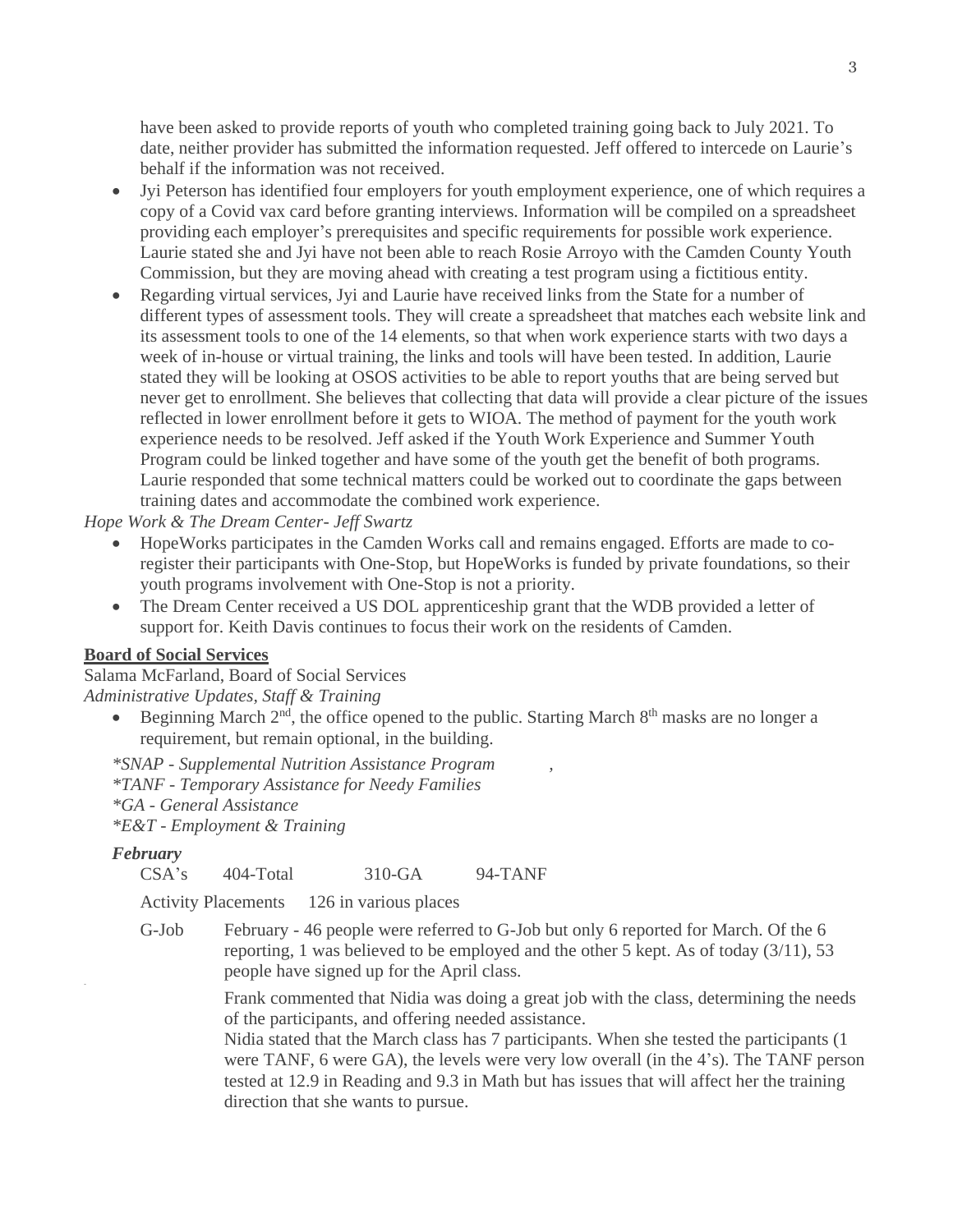have been asked to provide reports of youth who completed training going back to July 2021. To date, neither provider has submitted the information requested. Jeff offered to intercede on Laurie's behalf if the information was not received.

- Jyi Peterson has identified four employers for youth employment experience, one of which requires a copy of a Covid vax card before granting interviews. Information will be compiled on a spreadsheet providing each employer's prerequisites and specific requirements for possible work experience. Laurie stated she and Jyi have not been able to reach Rosie Arroyo with the Camden County Youth Commission, but they are moving ahead with creating a test program using a fictitious entity.
- Regarding virtual services, Jyi and Laurie have received links from the State for a number of different types of assessment tools. They will create a spreadsheet that matches each website link and its assessment tools to one of the 14 elements, so that when work experience starts with two days a week of in-house or virtual training, the links and tools will have been tested. In addition, Laurie stated they will be looking at OSOS activities to be able to report youths that are being served but never get to enrollment. She believes that collecting that data will provide a clear picture of the issues reflected in lower enrollment before it gets to WIOA. The method of payment for the youth work experience needs to be resolved. Jeff asked if the Youth Work Experience and Summer Youth Program could be linked together and have some of the youth get the benefit of both programs. Laurie responded that some technical matters could be worked out to coordinate the gaps between training dates and accommodate the combined work experience.

*Hope Work & The Dream Center- Jeff Swartz*

- HopeWorks participates in the Camden Works call and remains engaged. Efforts are made to coregister their participants with One-Stop, but HopeWorks is funded by private foundations, so their youth programs involvement with One-Stop is not a priority.
- The Dream Center received a US DOL apprenticeship grant that the WDB provided a letter of support for. Keith Davis continues to focus their work on the residents of Camden.

#### **Board of Social Services**

Salama McFarland, Board of Social Services *Administrative Updates, Staff & Training*

• Beginning March  $2<sup>nd</sup>$ , the office opened to the public. Starting March  $8<sup>th</sup>$  masks are no longer a requirement, but remain optional, in the building.

*\*SNAP - Supplemental Nutrition Assistance Program , \*TANF - Temporary Assistance for Needy Families \*GA - General Assistance \*E&T - Employment & Training*

#### *February*

-

CSA's 404-Total 310-GA 94-TANF

Activity Placements 126 in various places

G-Job February - 46 people were referred to G-Job but only 6 reported for March. Of the 6 reporting, 1 was believed to be employed and the other 5 kept. As of today (3/11), 53 people have signed up for the April class.

> Frank commented that Nidia was doing a great job with the class, determining the needs of the participants, and offering needed assistance.

Nidia stated that the March class has 7 participants. When she tested the participants (1 were TANF, 6 were GA), the levels were very low overall (in the 4's). The TANF person tested at 12.9 in Reading and 9.3 in Math but has issues that will affect her the training direction that she wants to pursue.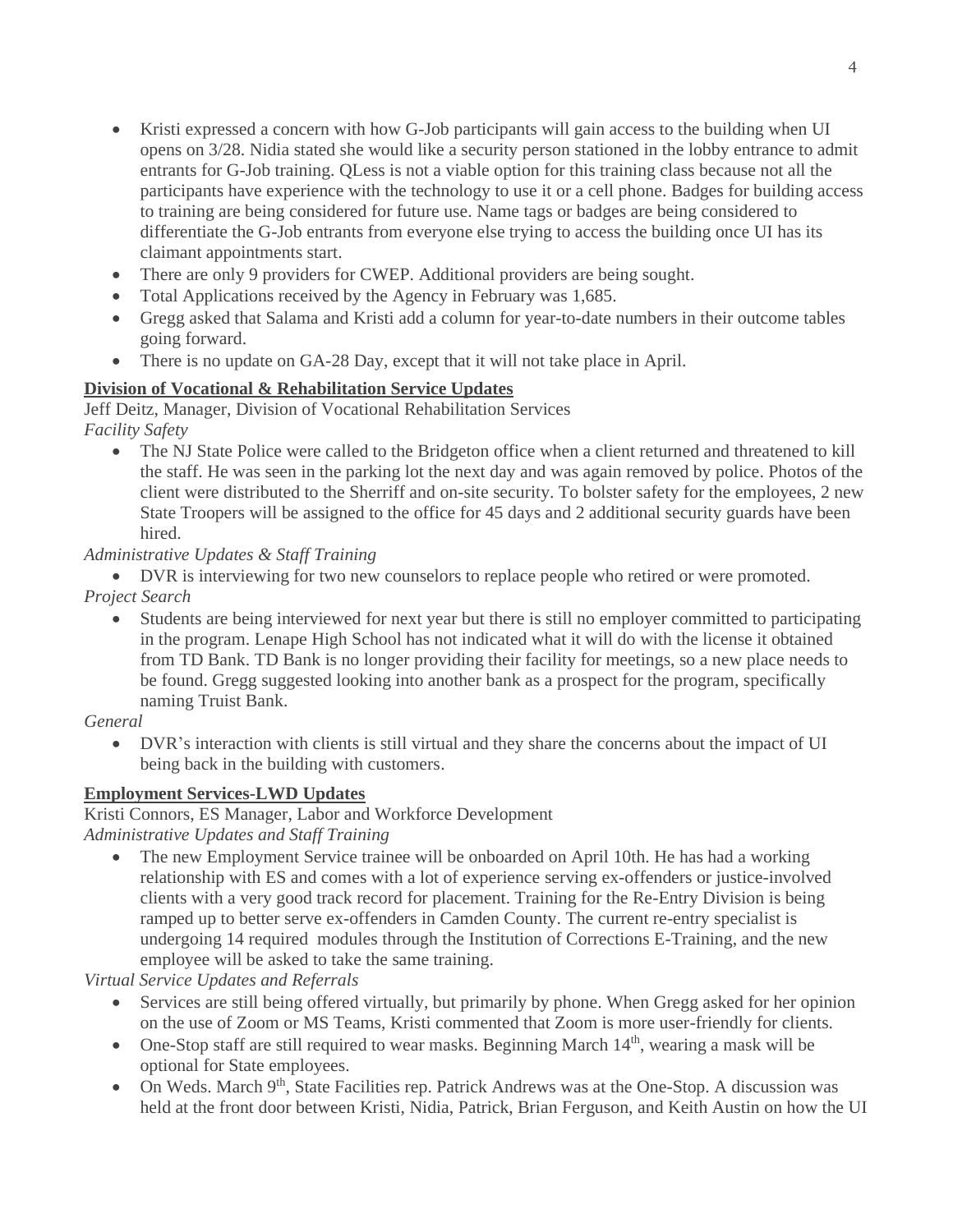- Kristi expressed a concern with how G-Job participants will gain access to the building when UI opens on 3/28. Nidia stated she would like a security person stationed in the lobby entrance to admit entrants for G-Job training. QLess is not a viable option for this training class because not all the participants have experience with the technology to use it or a cell phone. Badges for building access to training are being considered for future use. Name tags or badges are being considered to differentiate the G-Job entrants from everyone else trying to access the building once UI has its claimant appointments start.
- There are only 9 providers for CWEP. Additional providers are being sought.
- Total Applications received by the Agency in February was 1,685.
- Gregg asked that Salama and Kristi add a column for year-to-date numbers in their outcome tables going forward.
- There is no update on GA-28 Day, except that it will not take place in April.

### **Division of Vocational & Rehabilitation Service Updates**

Jeff Deitz, Manager, Division of Vocational Rehabilitation Services *Facility Safety*

• The NJ State Police were called to the Bridgeton office when a client returned and threatened to kill the staff. He was seen in the parking lot the next day and was again removed by police. Photos of the client were distributed to the Sherriff and on-site security. To bolster safety for the employees, 2 new State Troopers will be assigned to the office for 45 days and 2 additional security guards have been hired.

### *Administrative Updates & Staff Training*

• DVR is interviewing for two new counselors to replace people who retired or were promoted. *Project Search* 

• Students are being interviewed for next year but there is still no employer committed to participating in the program. Lenape High School has not indicated what it will do with the license it obtained from TD Bank. TD Bank is no longer providing their facility for meetings, so a new place needs to be found. Gregg suggested looking into another bank as a prospect for the program, specifically naming Truist Bank.

### *General*

• DVR's interaction with clients is still virtual and they share the concerns about the impact of UI being back in the building with customers.

### **Employment Services-LWD Updates**

Kristi Connors, ES Manager, Labor and Workforce Development

*Administrative Updates and Staff Training*

• The new Employment Service trainee will be onboarded on April 10th. He has had a working relationship with ES and comes with a lot of experience serving ex-offenders or justice-involved clients with a very good track record for placement. Training for the Re-Entry Division is being ramped up to better serve ex-offenders in Camden County. The current re-entry specialist is undergoing 14 required modules through the Institution of Corrections E-Training, and the new employee will be asked to take the same training.

*Virtual Service Updates and Referrals* 

- Services are still being offered virtually, but primarily by phone. When Gregg asked for her opinion on the use of Zoom or MS Teams, Kristi commented that Zoom is more user-friendly for clients.
- One-Stop staff are still required to wear masks. Beginning March  $14<sup>th</sup>$ , wearing a mask will be optional for State employees.
- On Weds. March 9<sup>th</sup>, State Facilities rep. Patrick Andrews was at the One-Stop. A discussion was held at the front door between Kristi, Nidia, Patrick, Brian Ferguson, and Keith Austin on how the UI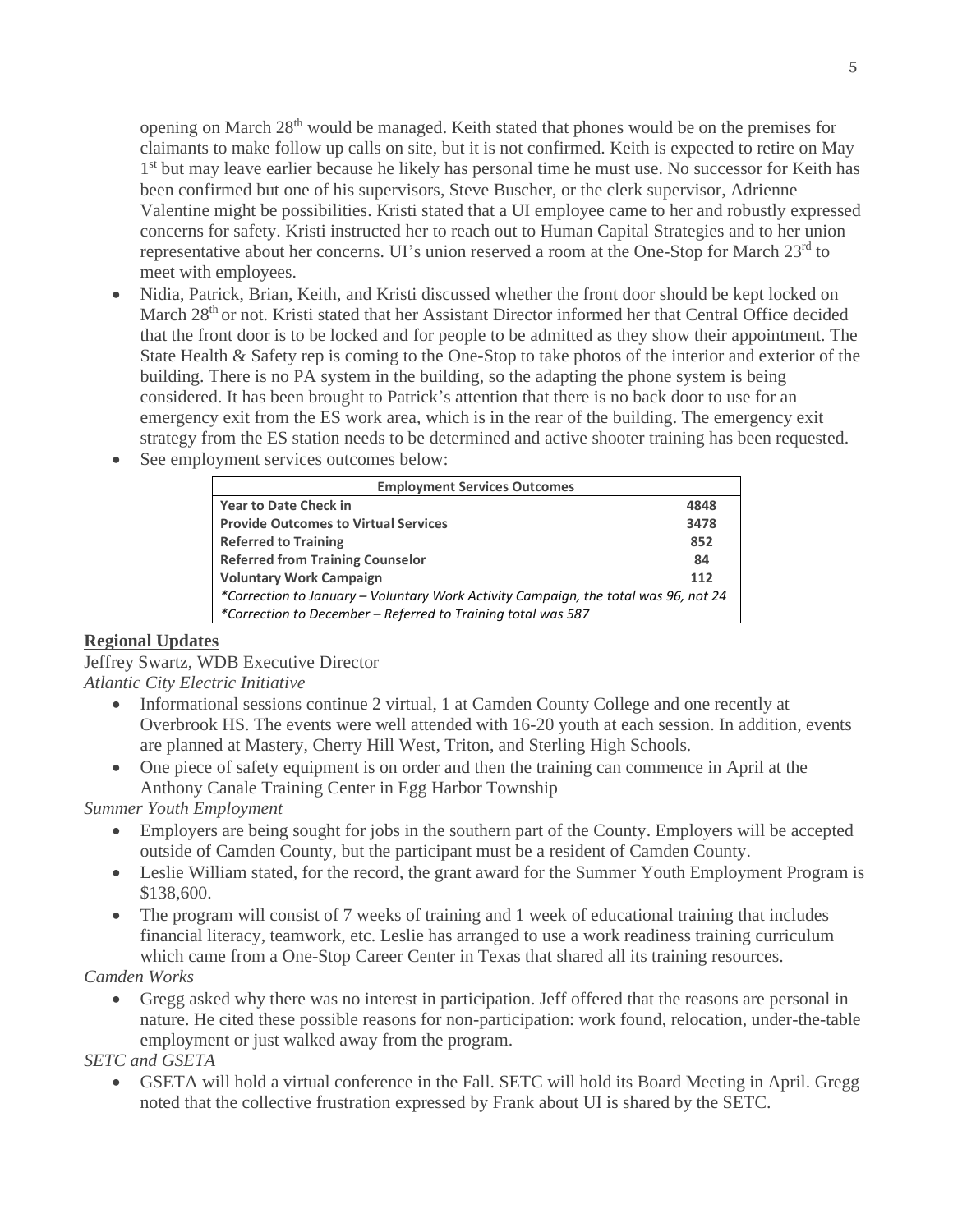opening on March 28<sup>th</sup> would be managed. Keith stated that phones would be on the premises for claimants to make follow up calls on site, but it is not confirmed. Keith is expected to retire on May 1<sup>st</sup> but may leave earlier because he likely has personal time he must use. No successor for Keith has been confirmed but one of his supervisors, Steve Buscher, or the clerk supervisor, Adrienne Valentine might be possibilities. Kristi stated that a UI employee came to her and robustly expressed concerns for safety. Kristi instructed her to reach out to Human Capital Strategies and to her union representative about her concerns. UI's union reserved a room at the One-Stop for March 23<sup>rd</sup> to meet with employees.

- Nidia, Patrick, Brian, Keith, and Kristi discussed whether the front door should be kept locked on March 28<sup>th</sup> or not. Kristi stated that her Assistant Director informed her that Central Office decided that the front door is to be locked and for people to be admitted as they show their appointment. The State Health & Safety rep is coming to the One-Stop to take photos of the interior and exterior of the building. There is no PA system in the building, so the adapting the phone system is being considered. It has been brought to Patrick's attention that there is no back door to use for an emergency exit from the ES work area, which is in the rear of the building. The emergency exit strategy from the ES station needs to be determined and active shooter training has been requested.
- See employment services outcomes below:

| <b>Employment Services Outcomes</b>                                                 |      |  |  |  |  |  |
|-------------------------------------------------------------------------------------|------|--|--|--|--|--|
| <b>Year to Date Check in</b>                                                        | 4848 |  |  |  |  |  |
| <b>Provide Outcomes to Virtual Services</b>                                         | 3478 |  |  |  |  |  |
| <b>Referred to Training</b>                                                         |      |  |  |  |  |  |
| <b>Referred from Training Counselor</b>                                             |      |  |  |  |  |  |
| <b>Voluntary Work Campaign</b>                                                      |      |  |  |  |  |  |
| *Correction to January – Voluntary Work Activity Campaign, the total was 96, not 24 |      |  |  |  |  |  |
| *Correction to December – Referred to Training total was 587                        |      |  |  |  |  |  |

# **Regional Updates**

Jeffrey Swartz, WDB Executive Director *Atlantic City Electric Initiative*

- Informational sessions continue 2 virtual, 1 at Camden County College and one recently at Overbrook HS. The events were well attended with 16-20 youth at each session. In addition, events are planned at Mastery, Cherry Hill West, Triton, and Sterling High Schools.
- One piece of safety equipment is on order and then the training can commence in April at the Anthony Canale Training Center in Egg Harbor Township

# *Summer Youth Employment*

- Employers are being sought for jobs in the southern part of the County. Employers will be accepted outside of Camden County, but the participant must be a resident of Camden County.
- Leslie William stated, for the record, the grant award for the Summer Youth Employment Program is \$138,600.
- The program will consist of 7 weeks of training and 1 week of educational training that includes financial literacy, teamwork, etc. Leslie has arranged to use a work readiness training curriculum which came from a One-Stop Career Center in Texas that shared all its training resources.

# *Camden Works*

• Gregg asked why there was no interest in participation. Jeff offered that the reasons are personal in nature. He cited these possible reasons for non-participation: work found, relocation, under-the-table employment or just walked away from the program.

# *SETC and GSETA*

• GSETA will hold a virtual conference in the Fall. SETC will hold its Board Meeting in April. Gregg noted that the collective frustration expressed by Frank about UI is shared by the SETC.